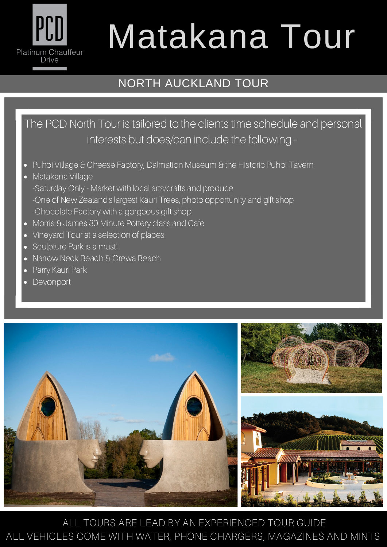## PCD Platinum Chauffeur **Drive**

## Matakana Tour

## NORTH AUCKLAND TOUR

The PCD North Tour is tailored to the clients time schedule and personal interests but does/can include the following -

- Puhoi Village & Cheese Factory, Dalmation Museum & the Historic Puhoi Tavern
- Matakana Village -Saturday Only - Market with local arts/crafts and produce -One of New Zealand's largest Kauri Trees, photo opportunity and gift shop -Chocolate Factory with a gorgeous gift shop
- Morris & James 30 Minute Pottery class and Cafe
- Vineyard Tour at a selection of places
- Sculpture Park is a must!
- Narrow Neck Beach & Orewa Beach
- Parry Kauri Park
- Devonport



ALL TOURS ARE LEAD BY AN EXPERIENCED TOUR GUIDE ALL VEHICLES COME WITH WATER, PHONE CHARGERS, MAGAZINES AND MINTS